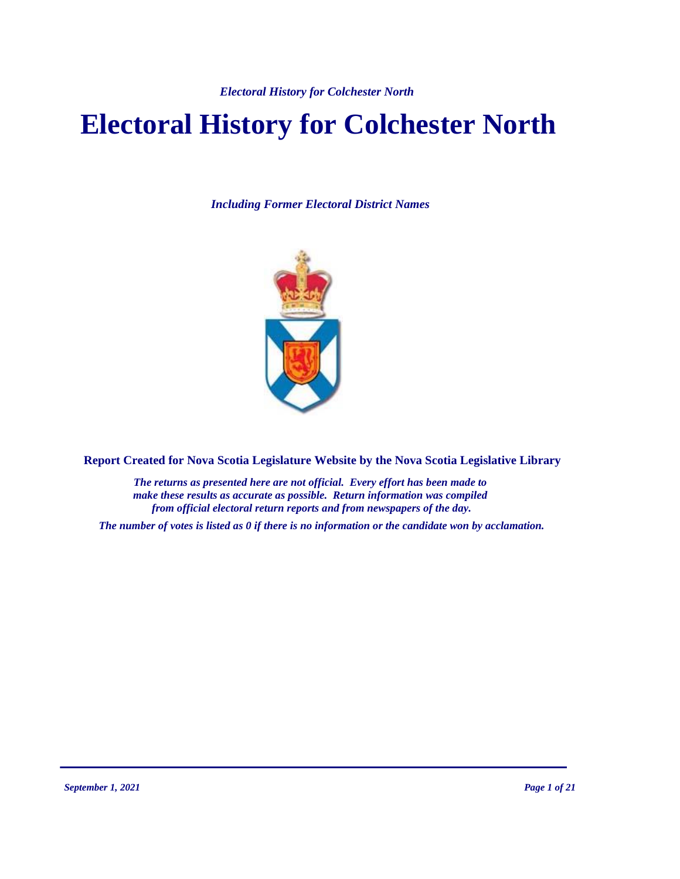# **Electoral History for Colchester North**

*Including Former Electoral District Names*



**Report Created for Nova Scotia Legislature Website by the Nova Scotia Legislative Library**

*The returns as presented here are not official. Every effort has been made to make these results as accurate as possible. Return information was compiled from official electoral return reports and from newspapers of the day.*

*The number of votes is listed as 0 if there is no information or the candidate won by acclamation.*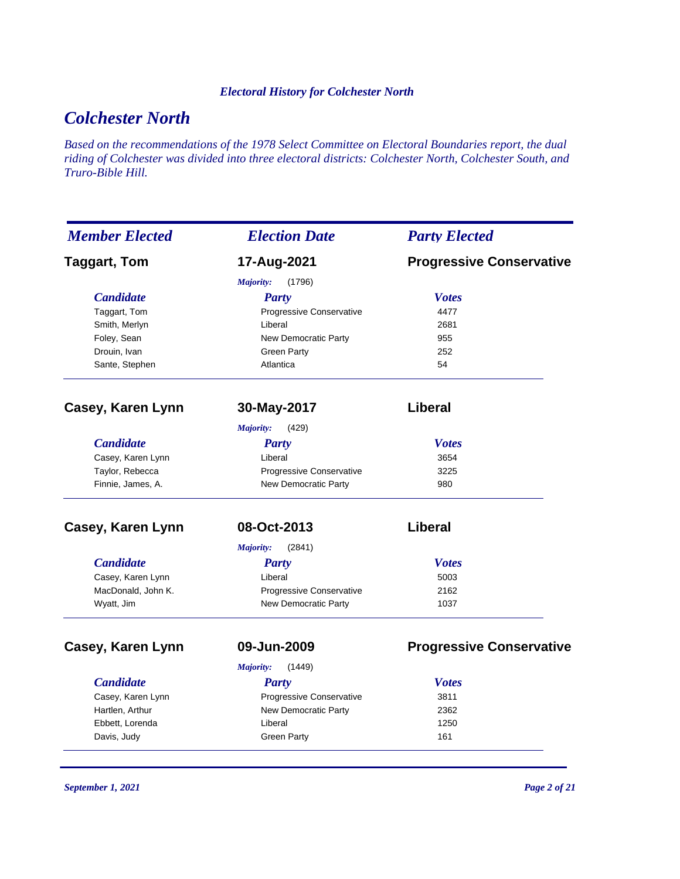# *Colchester North*

*Based on the recommendations of the 1978 Select Committee on Electoral Boundaries report, the dual riding of Colchester was divided into three electoral districts: Colchester North, Colchester South, and Truro-Bible Hill.*

| <b>Member Elected</b> | <b>Election Date</b>            | <b>Party Elected</b>            |
|-----------------------|---------------------------------|---------------------------------|
| <b>Taggart, Tom</b>   | 17-Aug-2021                     | <b>Progressive Conservative</b> |
|                       | Majority:<br>(1796)             |                                 |
| <b>Candidate</b>      | <b>Party</b>                    | <b>Votes</b>                    |
| Taggart, Tom          | Progressive Conservative        | 4477                            |
| Smith, Merlyn         | Liberal                         | 2681                            |
| Foley, Sean           | <b>New Democratic Party</b>     | 955                             |
| Drouin, Ivan          | <b>Green Party</b>              | 252                             |
| Sante, Stephen        | Atlantica                       | 54                              |
| Casey, Karen Lynn     | 30-May-2017                     | Liberal                         |
|                       | (429)<br>Majority:              |                                 |
| <b>Candidate</b>      | <b>Party</b>                    | <b>Votes</b>                    |
| Casey, Karen Lynn     | Liberal                         | 3654                            |
| Taylor, Rebecca       | <b>Progressive Conservative</b> | 3225                            |
| Finnie, James, A.     | New Democratic Party            | 980                             |
| Casey, Karen Lynn     | 08-Oct-2013                     | <b>Liberal</b>                  |
|                       | (2841)<br><b>Majority:</b>      |                                 |
| <b>Candidate</b>      | <b>Party</b>                    | <b>Votes</b>                    |
| Casey, Karen Lynn     | Liberal                         | 5003                            |
| MacDonald, John K.    | Progressive Conservative        | 2162                            |
| Wyatt, Jim            | <b>New Democratic Party</b>     | 1037                            |
| Casey, Karen Lynn     | 09-Jun-2009                     | <b>Progressive Conservative</b> |
|                       | Majority:<br>(1449)             |                                 |
| <b>Candidate</b>      | Party                           | <b>Votes</b>                    |
| Casey, Karen Lynn     | Progressive Conservative        | 3811                            |
| Hartlen, Arthur       | <b>New Democratic Party</b>     | 2362                            |
| Ebbett, Lorenda       | Liberal                         | 1250                            |
| Davis, Judy           | <b>Green Party</b>              | 161                             |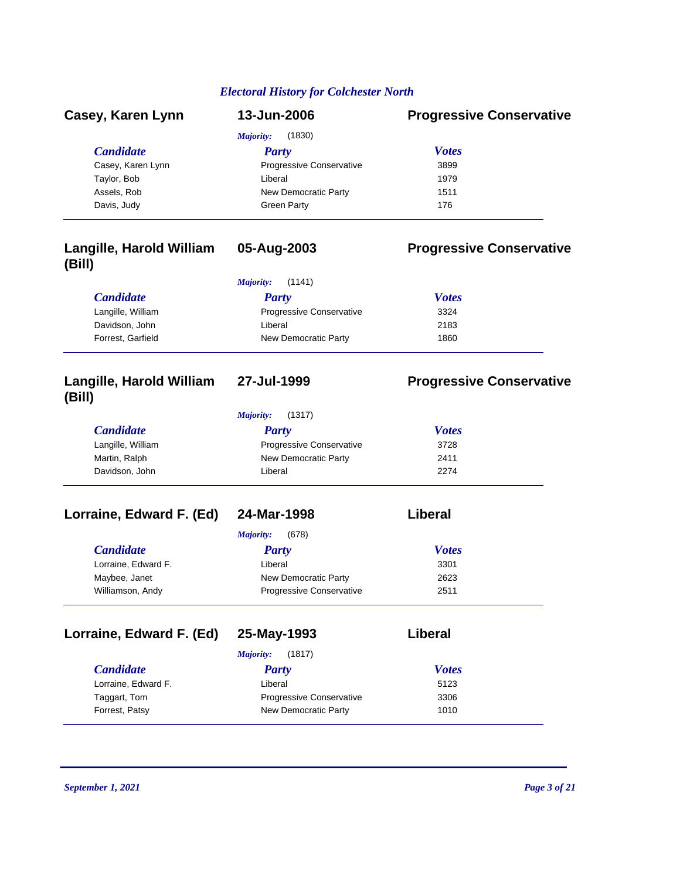| Casey, Karen Lynn | 13-Jun-2006              | <b>Progressive Conservative</b> |
|-------------------|--------------------------|---------------------------------|
|                   | (1830)<br>Majority:      |                                 |
| <b>Candidate</b>  | <b>Party</b>             | <b>Votes</b>                    |
| Casey, Karen Lynn | Progressive Conservative | 3899                            |
| Taylor, Bob       | Liberal                  | 1979                            |
| Assels, Rob       | New Democratic Party     | 1511                            |
| Davis, Judy       | <b>Green Party</b>       | 176                             |

### **Langille, Harold William (Bill)**

### **05-Aug-2003 Progressive Conservative**

| (1141)<br>Majority: |                                 |              |  |
|---------------------|---------------------------------|--------------|--|
| <i>Candidate</i>    | Party                           | <b>Votes</b> |  |
| Langille, William   | <b>Progressive Conservative</b> | 3324         |  |
| Davidson, John      | Liberal                         | 2183         |  |
| Forrest, Garfield   | New Democratic Party            | 1860         |  |

# **Langille, Harold William (Bill)**

*Majority:* (1317)

# **27-Jul-1999 Progressive Conservative**

| <i>Candidate</i>  | Party                           | <b>Votes</b> |
|-------------------|---------------------------------|--------------|
| Langille, William | <b>Progressive Conservative</b> | 3728         |
| Martin, Ralph     | New Democratic Party            | 2411         |
| Davidson, John    | Liberal                         | 2274         |

### **Lorraine, Edward F. (Ed) 24-Mar-1998 Liberal**

|                     | (678)<br>Majority:              |              |
|---------------------|---------------------------------|--------------|
| <b>Candidate</b>    | <b>Party</b>                    | <b>Votes</b> |
| Lorraine, Edward F. | Liberal                         | 3301         |
| Maybee, Janet       | New Democratic Party            | 2623         |
| Williamson, Andy    | <b>Progressive Conservative</b> | 2511         |
|                     |                                 |              |

# **Lorraine, Edward F. (Ed) 25-May-1993 Liberal**

| <b>Votes</b><br>Party                   |
|-----------------------------------------|
| Liberal<br>5123                         |
| <b>Progressive Conservative</b><br>3306 |
| New Democratic Party<br>1010            |
|                                         |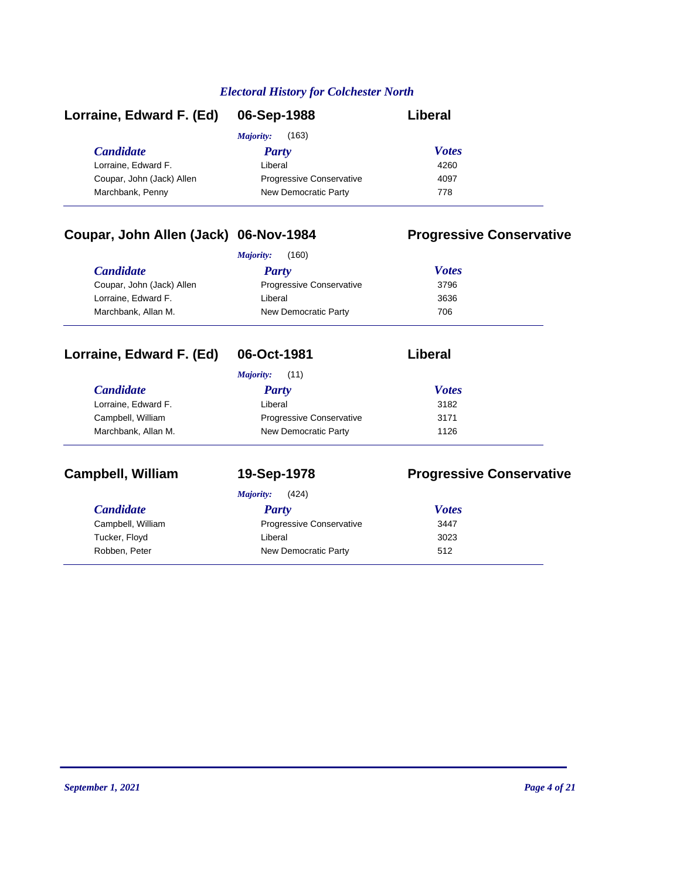| Lorraine, Edward F. (Ed)  | 06-Sep-1988                     | Liberal      |
|---------------------------|---------------------------------|--------------|
|                           | (163)<br>Majority:              |              |
| <b>Candidate</b>          | <b>Party</b>                    | <b>Votes</b> |
| Lorraine, Edward F.       | Liberal                         | 4260         |
| Coupar, John (Jack) Allen | <b>Progressive Conservative</b> | 4097         |
| Marchbank, Penny          | New Democratic Party            | 778          |

### **Coupar, John Allen (Jack) 06-Nov-1984 Progressive Conservative**

| (160)<br>Majority:        |                                 |              |
|---------------------------|---------------------------------|--------------|
| <i>Candidate</i>          | Party                           | <b>Votes</b> |
| Coupar, John (Jack) Allen | <b>Progressive Conservative</b> | 3796         |
| Lorraine. Edward F.       | Liberal                         | 3636         |
| Marchbank, Allan M.       | New Democratic Party            | 706          |

| Lorraine, Edward F. (Ed) | 06-Oct-1981              | Liberal      |
|--------------------------|--------------------------|--------------|
|                          | Majority:<br>(11)        |              |
| <b>Candidate</b>         | <b>Party</b>             | <b>Votes</b> |
| Lorraine, Edward F.      | Liberal                  | 3182         |
| Campbell, William        | Progressive Conservative | 3171         |
| Marchbank, Allan M.      | New Democratic Party     | 1126         |

# **Campbell, William 19-Sep-1978 Progressive Conservative**

| <b>Majority:</b> | (424) |
|------------------|-------|
|------------------|-------|

| <b>Candidate</b>  | Party                           | <b>Votes</b> |
|-------------------|---------------------------------|--------------|
| Campbell, William | <b>Progressive Conservative</b> | 3447         |
| Tucker, Floyd     | Liberal                         | 3023         |
| Robben, Peter     | New Democratic Party            | 512          |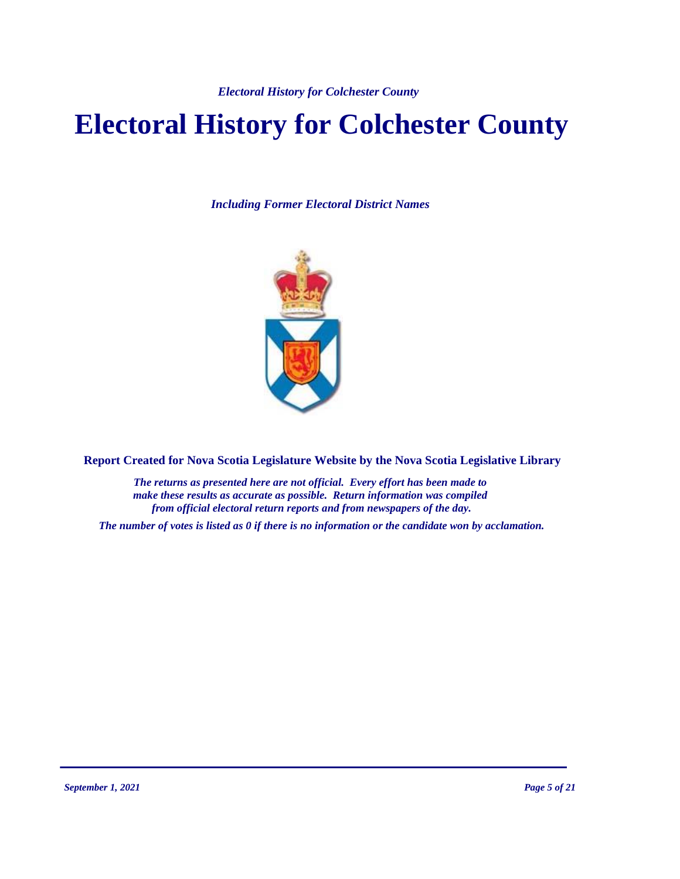# **Electoral History for Colchester County**

*Including Former Electoral District Names*



**Report Created for Nova Scotia Legislature Website by the Nova Scotia Legislative Library**

*The returns as presented here are not official. Every effort has been made to make these results as accurate as possible. Return information was compiled from official electoral return reports and from newspapers of the day.*

*The number of votes is listed as 0 if there is no information or the candidate won by acclamation.*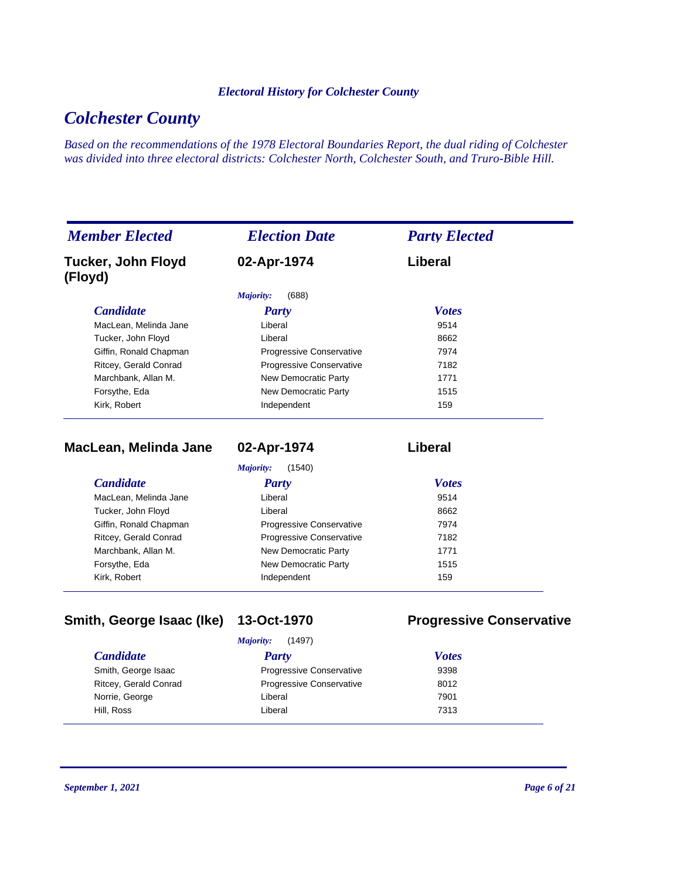# *Colchester County*

*Based on the recommendations of the 1978 Electoral Boundaries Report, the dual riding of Colchester was divided into three electoral districts: Colchester North, Colchester South, and Truro-Bible Hill.*

| <b>Member Elected</b>                | <b>Election Date</b>            | <b>Party Elected</b> |  |
|--------------------------------------|---------------------------------|----------------------|--|
| <b>Tucker, John Floyd</b><br>(Floyd) | 02-Apr-1974                     | Liberal              |  |
|                                      | (688)<br>Majority:              |                      |  |
| <b>Candidate</b>                     | Party                           | <b>Votes</b>         |  |
| MacLean, Melinda Jane                | Liberal                         | 9514                 |  |
| Tucker, John Floyd                   | Liberal                         | 8662                 |  |
| Giffin, Ronald Chapman               | <b>Progressive Conservative</b> | 7974                 |  |
| Ritcey, Gerald Conrad                | Progressive Conservative        | 7182                 |  |
| Marchbank, Allan M.                  | New Democratic Party            | 1771                 |  |
| Forsythe, Eda                        | New Democratic Party            | 1515                 |  |
| Kirk, Robert                         | Independent                     | 159                  |  |

**MacLean, Melinda Jane 02-Apr-1974 Liberal**

*Majority:* (1540)

| <b>Candidate</b>       | <b>Party</b>                    | <b>Votes</b> |
|------------------------|---------------------------------|--------------|
| MacLean, Melinda Jane  | Liberal                         | 9514         |
| Tucker, John Floyd     | Liberal                         | 8662         |
| Giffin, Ronald Chapman | <b>Progressive Conservative</b> | 7974         |
| Ritcey, Gerald Conrad  | <b>Progressive Conservative</b> | 7182         |
| Marchbank, Allan M.    | New Democratic Party            | 1771         |
| Forsythe, Eda          | New Democratic Party            | 1515         |
| Kirk, Robert           | Independent                     | 159          |

# **Smith, George Isaac (Ike) 13-Oct-1970 Progressive Conservative**

| (1497)<br>Majority:   |                                 |              |  |
|-----------------------|---------------------------------|--------------|--|
| <i>Candidate</i>      | Party                           | <b>Votes</b> |  |
| Smith, George Isaac   | <b>Progressive Conservative</b> | 9398         |  |
| Ritcey, Gerald Conrad | <b>Progressive Conservative</b> | 8012         |  |
| Norrie, George        | Liberal                         | 7901         |  |
| Hill, Ross            | Liberal                         | 7313         |  |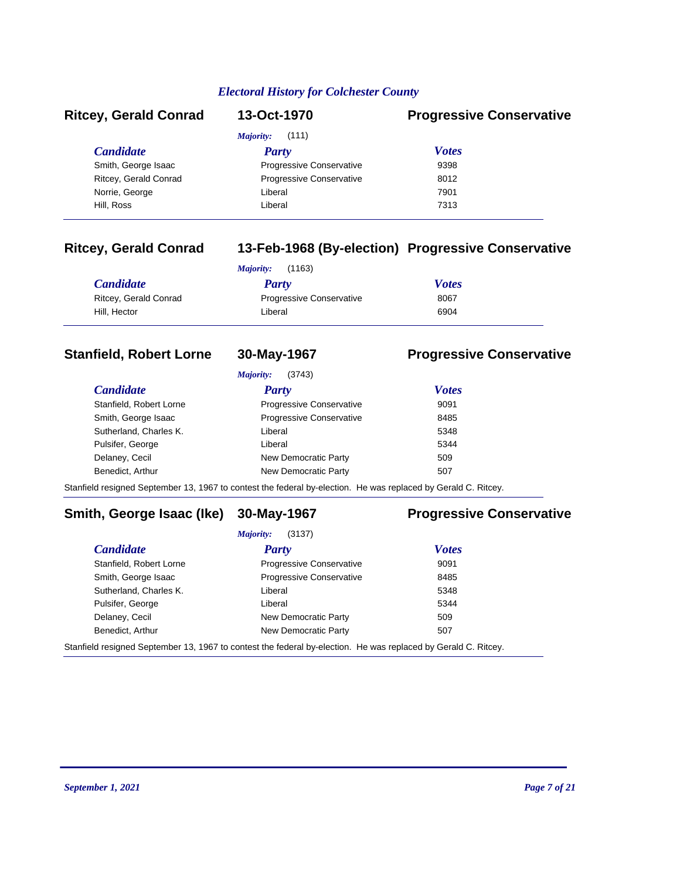| <b>Ritcey, Gerald Conrad</b> | 13-Oct-1970                     | <b>Progressive Conservative</b> |
|------------------------------|---------------------------------|---------------------------------|
|                              | Majority:<br>(111)              |                                 |
| <i>Candidate</i>             | Party                           | <b>Votes</b>                    |
| Smith, George Isaac          | <b>Progressive Conservative</b> | 9398                            |
| Ritcey, Gerald Conrad        | <b>Progressive Conservative</b> | 8012                            |
| Norrie, George               | Liberal                         | 7901                            |
| Hill, Ross                   | Liberal                         | 7313                            |
|                              |                                 |                                 |

### **Ritcey, Gerald Conrad 13-Feb-1968 (By-election) Progressive Conservative**

|                       | (1163)<br>Majority:             |              |
|-----------------------|---------------------------------|--------------|
| <b>Candidate</b>      | Party                           | <b>Votes</b> |
| Ritcey, Gerald Conrad | <b>Progressive Conservative</b> | 8067         |
| Hill. Hector          | Liberal                         | 6904         |

### **Stanfield, Robert Lorne 30-May-1967 Progressive Conservative**

*Majority:* (3743)

#### *Candidate Party Votes* Stanfield, Robert Lorne **Progressive Conservative** 9091 Smith, George Isaac **Progressive Conservative** 8485 Sutherland, Charles K. Charles K. Charles Controller Liberal 5348 Pulsifer, George **Liberal** Liberal **1996** Liberal 5344 Delaney, Cecil **New Democratic Party** 509 Benedict, Arthur **New Democratic Party 507**

Stanfield resigned September 13, 1967 to contest the federal by-election. He was replaced by Gerald C. Ritcey.

### **Smith, George Isaac (Ike) 30-May-1967 Progressive Conservative**

*Majority:* (3137)

| <b>Candidate</b>                                                                                               | Party                           | <b>Votes</b> |
|----------------------------------------------------------------------------------------------------------------|---------------------------------|--------------|
| Stanfield, Robert Lorne                                                                                        | <b>Progressive Conservative</b> | 9091         |
| Smith, George Isaac                                                                                            | Progressive Conservative        | 8485         |
| Sutherland, Charles K.                                                                                         | Liberal                         | 5348         |
| Pulsifer, George                                                                                               | Liberal                         | 5344         |
| Delaney, Cecil                                                                                                 | New Democratic Party            | 509          |
| Benedict, Arthur                                                                                               | New Democratic Party            | 507          |
| Stanfield resigned September 13, 1967 to contest the federal by-election. He was replaced by Gerald C. Ritcey. |                                 |              |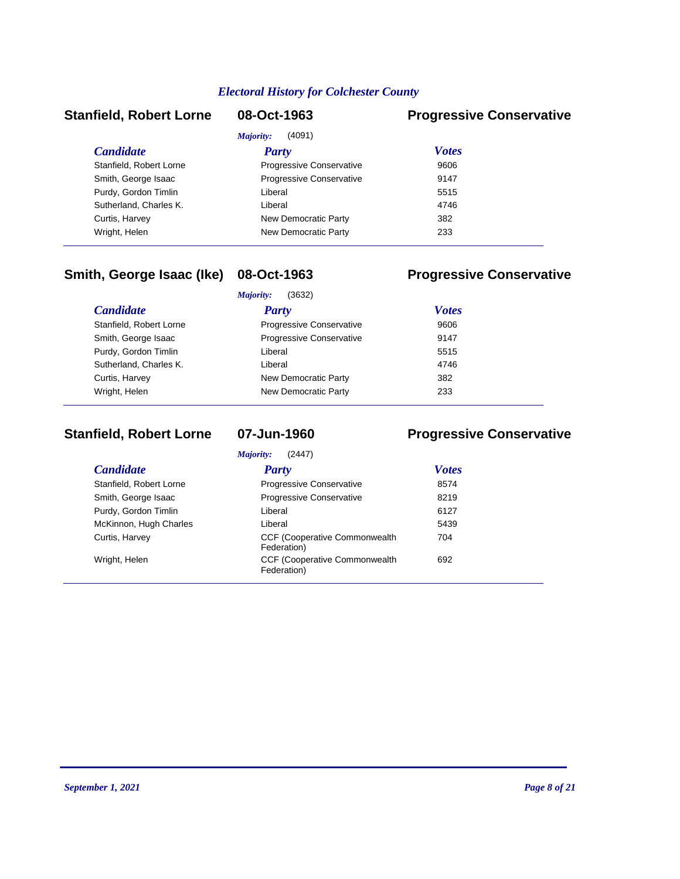# *Majority:* (4091)

### **Stanfield, Robert Lorne 08-Oct-1963 Progressive Conservative**

|                         | Majority:<br>(4091)             |              |  |
|-------------------------|---------------------------------|--------------|--|
| <b>Candidate</b>        | <b>Party</b>                    | <b>Votes</b> |  |
| Stanfield, Robert Lorne | <b>Progressive Conservative</b> | 9606         |  |
| Smith, George Isaac     | Progressive Conservative        | 9147         |  |
| Purdy, Gordon Timlin    | Liberal                         | 5515         |  |
| Sutherland, Charles K.  | Liberal                         | 4746         |  |
| Curtis, Harvey          | New Democratic Party            | 382          |  |
| Wright, Helen           | New Democratic Party            | 233          |  |
|                         |                                 |              |  |

# **Smith, George Isaac (Ike) 08-Oct-1963 Progressive Conservative**

|                         | (3632)<br>Majority:             |              |  |
|-------------------------|---------------------------------|--------------|--|
| <i>Candidate</i>        | <b>Party</b>                    | <b>Votes</b> |  |
| Stanfield, Robert Lorne | <b>Progressive Conservative</b> | 9606         |  |
| Smith, George Isaac     | <b>Progressive Conservative</b> | 9147         |  |
| Purdy, Gordon Timlin    | Liberal                         | 5515         |  |
| Sutherland, Charles K.  | Liberal                         | 4746         |  |
| Curtis, Harvey          | New Democratic Party            | 382          |  |
| Wright, Helen           | New Democratic Party            | 233          |  |
|                         |                                 |              |  |

### **Stanfield, Robert Lorne 07-Jun-1960 Progressive Conservative**

| (2447)<br>Majority:     |                                                      |              |  |
|-------------------------|------------------------------------------------------|--------------|--|
| <b>Candidate</b>        | <b>Party</b>                                         | <b>Votes</b> |  |
| Stanfield, Robert Lorne | Progressive Conservative                             | 8574         |  |
| Smith, George Isaac     | Progressive Conservative                             | 8219         |  |
| Purdy, Gordon Timlin    | Liberal                                              | 6127         |  |
| McKinnon, Hugh Charles  | Liberal                                              | 5439         |  |
| Curtis, Harvey          | <b>CCF (Cooperative Commonwealth)</b><br>Federation) | 704          |  |
| Wright, Helen           | <b>CCF (Cooperative Commonwealth)</b><br>Federation) | 692          |  |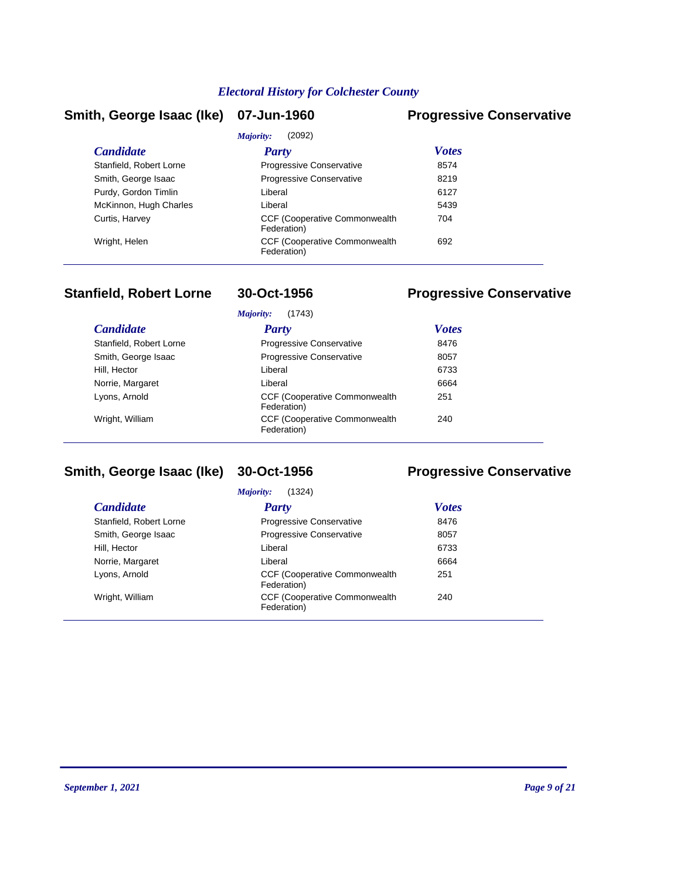### **Smith, George Isaac (Ike) 07-Jun-1960 Progressive Conservative**

| (2092)<br>Majority:                                  |              |  |
|------------------------------------------------------|--------------|--|
| Party                                                | <b>Votes</b> |  |
| <b>Progressive Conservative</b>                      | 8574         |  |
| <b>Progressive Conservative</b>                      | 8219         |  |
| Liberal                                              | 6127         |  |
| Liberal                                              | 5439         |  |
| <b>CCF (Cooperative Commonwealth)</b><br>Federation) | 704          |  |
| <b>CCF (Cooperative Commonwealth)</b><br>Federation) | 692          |  |
|                                                      |              |  |

# **Stanfield, Robert Lorne 30-Oct-1956 Progressive Conservative**

| (1743)<br>Majority:     |                                                      |              |
|-------------------------|------------------------------------------------------|--------------|
| <i>Candidate</i>        | Party                                                | <b>Votes</b> |
| Stanfield, Robert Lorne | Progressive Conservative                             | 8476         |
| Smith, George Isaac     | Progressive Conservative                             | 8057         |
| Hill, Hector            | Liberal                                              | 6733         |
| Norrie, Margaret        | Liberal                                              | 6664         |
| Lyons, Arnold           | <b>CCF (Cooperative Commonwealth)</b><br>Federation) | 251          |
| Wright, William         | <b>CCF (Cooperative Commonwealth)</b><br>Federation) | 240          |

# **Smith, George Isaac (Ike) 30-Oct-1956 Progressive Conservative**

*Majority:* (1324)

| <b>Candidate</b>        | <b>Party</b>                                         | <b>Votes</b> |
|-------------------------|------------------------------------------------------|--------------|
| Stanfield, Robert Lorne | <b>Progressive Conservative</b>                      | 8476         |
| Smith, George Isaac     | <b>Progressive Conservative</b>                      | 8057         |
| Hill, Hector            | Liberal                                              | 6733         |
| Norrie, Margaret        | Liberal                                              | 6664         |
| Lyons, Arnold           | <b>CCF (Cooperative Commonwealth)</b><br>Federation) | 251          |
| Wright, William         | <b>CCF (Cooperative Commonwealth)</b><br>Federation) | 240          |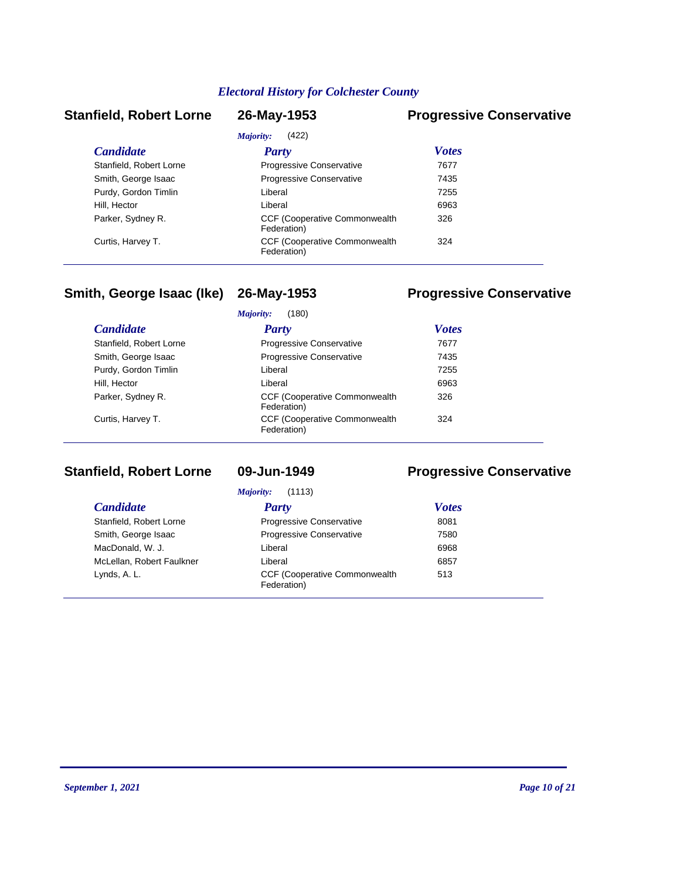### **Stanfield, Robert Lorne 26-May-1953 Progressive Conservative**

| (422)<br>Majority:      |                                                      |              |
|-------------------------|------------------------------------------------------|--------------|
| <b>Candidate</b>        | Party                                                | <b>Votes</b> |
| Stanfield, Robert Lorne | <b>Progressive Conservative</b>                      | 7677         |
| Smith, George Isaac     | Progressive Conservative                             | 7435         |
| Purdy, Gordon Timlin    | Liberal                                              | 7255         |
| Hill, Hector            | Liberal                                              | 6963         |
| Parker, Sydney R.       | <b>CCF (Cooperative Commonwealth)</b><br>Federation) | 326          |
| Curtis, Harvey T.       | <b>CCF (Cooperative Commonwealth)</b><br>Federation) | 324          |

### **Smith, George Isaac (Ike) 26-May-1953 Progressive Conservative**

#### *Candidate Party Votes Majority:* (180) Stanfield, Robert Lorne **Progressive Conservative** 7677 Smith, George Isaac **Progressive Conservative** 7435 Purdy, Gordon Timlin **Example 2018** Liberal Liberal 2255 Hill, Hector **Contract Contract Contract Contract Contract Contract Contract Contract Contract Contract Contract Contract Contract Contract Contract Contract Contract Contract Contract Contract Contract Contract Contract C** CCF (Cooperative Commonwealth Parker, Sydney R. 326 Federation) CCF (Cooperative Commonwealth Curtis, Harvey T. 324 Federation)

### **Stanfield, Robert Lorne 09-Jun-1949 Progressive Conservative**

| (1113)<br>Majority:       |                                                      |              |
|---------------------------|------------------------------------------------------|--------------|
| <b>Candidate</b>          | Party                                                | <b>Votes</b> |
| Stanfield, Robert Lorne   | <b>Progressive Conservative</b>                      | 8081         |
| Smith, George Isaac       | <b>Progressive Conservative</b>                      | 7580         |
| MacDonald, W. J.          | Liberal                                              | 6968         |
| McLellan, Robert Faulkner | Liberal                                              | 6857         |
| Lynds, A. L.              | <b>CCF (Cooperative Commonwealth)</b><br>Federation) | 513          |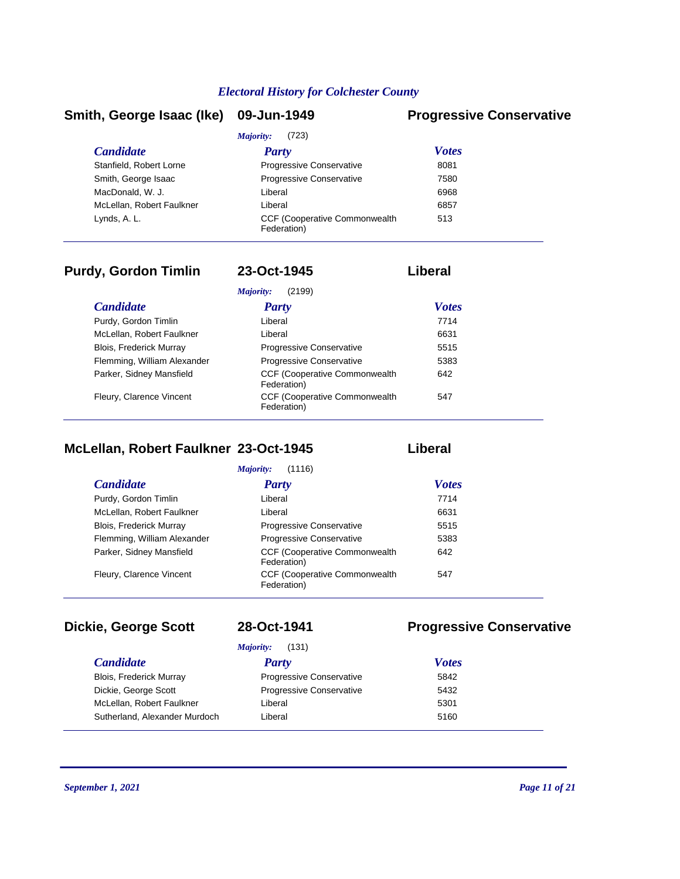### **Smith, George Isaac (Ike) 09-Jun-1949 Progressive Conservative**

| (723)<br>Majority:        |                                                      |              |
|---------------------------|------------------------------------------------------|--------------|
| <i>Candidate</i>          | Party                                                | <b>Votes</b> |
| Stanfield, Robert Lorne   | Progressive Conservative                             | 8081         |
| Smith, George Isaac       | <b>Progressive Conservative</b>                      | 7580         |
| MacDonald, W. J.          | Liberal                                              | 6968         |
| McLellan, Robert Faulkner | Liberal                                              | 6857         |
| Lynds, A. L.              | <b>CCF (Cooperative Commonwealth)</b><br>Federation) | 513          |

# **Purdy, Gordon Timlin 23-Oct-1945 Liberal**

|                             | Majority:<br>(2199)                                  |              |  |
|-----------------------------|------------------------------------------------------|--------------|--|
| <b>Candidate</b>            | Party                                                | <b>Votes</b> |  |
| Purdy, Gordon Timlin        | Liberal                                              | 7714         |  |
| McLellan, Robert Faulkner   | Liberal                                              | 6631         |  |
| Blois, Frederick Murray     | Progressive Conservative                             | 5515         |  |
| Flemming, William Alexander | <b>Progressive Conservative</b>                      | 5383         |  |
| Parker, Sidney Mansfield    | <b>CCF (Cooperative Commonwealth)</b><br>Federation) | 642          |  |
| Fleury, Clarence Vincent    | <b>CCF (Cooperative Commonwealth)</b><br>Federation) | 547          |  |

# **McLellan, Robert Faulkner 23-Oct-1945 Liberal**

| (1116)<br>Majority:            |                                                      |              |
|--------------------------------|------------------------------------------------------|--------------|
| <i>Candidate</i>               | Party                                                | <b>Votes</b> |
| Purdy, Gordon Timlin           | Liberal                                              | 7714         |
| McLellan, Robert Faulkner      | Liberal                                              | 6631         |
| <b>Blois, Frederick Murray</b> | Progressive Conservative                             | 5515         |
| Flemming, William Alexander    | <b>Progressive Conservative</b>                      | 5383         |
| Parker, Sidney Mansfield       | CCF (Cooperative Commonwealth<br>Federation)         | 642          |
| Fleury, Clarence Vincent       | <b>CCF (Cooperative Commonwealth)</b><br>Federation) | 547          |

#### $C$ *andidate*

### *Majority:* (131)

### **Dickie, George Scott 28-Oct-1941 Progressive Conservative**

| <i>Majority:</i><br>(131)      |                                 |              |  |
|--------------------------------|---------------------------------|--------------|--|
| <b>Candidate</b>               | Party                           | <b>Votes</b> |  |
| <b>Blois, Frederick Murray</b> | <b>Progressive Conservative</b> | 5842         |  |
| Dickie, George Scott           | Progressive Conservative        | 5432         |  |
| McLellan, Robert Faulkner      | Liberal                         | 5301         |  |
| Sutherland, Alexander Murdoch  | Liberal                         | 5160         |  |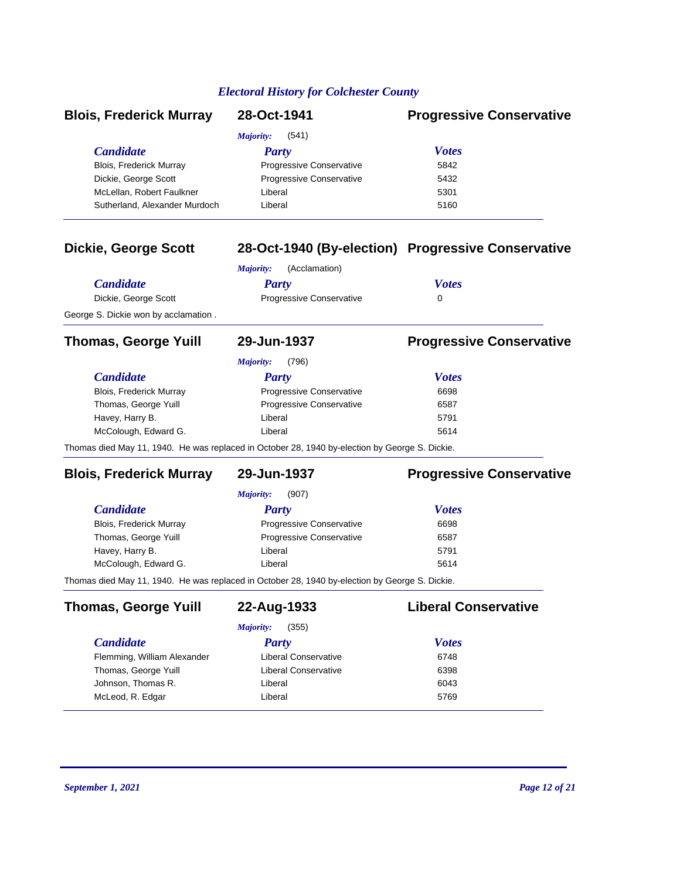| <b>Blois, Frederick Murray</b>                                                                   | 28-Oct-1941                                                                                                  | <b>Progressive Conservative</b>                    |
|--------------------------------------------------------------------------------------------------|--------------------------------------------------------------------------------------------------------------|----------------------------------------------------|
| <b>Candidate</b><br>Blois, Frederick Murray<br>Dickie, George Scott<br>McLellan, Robert Faulkner | <b>Majority:</b><br>(541)<br><b>Party</b><br>Progressive Conservative<br>Progressive Conservative<br>Liberal | <b>Votes</b><br>5842<br>5432<br>5301               |
| Sutherland, Alexander Murdoch                                                                    | Liberal                                                                                                      | 5160                                               |
| <b>Dickie, George Scott</b>                                                                      | (Acclamation)<br><b>Majority:</b>                                                                            | 28-Oct-1940 (By-election) Progressive Conservative |
| <b>Candidate</b>                                                                                 | <b>Party</b>                                                                                                 | <b>Votes</b>                                       |
| Dickie, George Scott                                                                             | Progressive Conservative                                                                                     | 0                                                  |
| George S. Dickie won by acclamation.                                                             |                                                                                                              |                                                    |
| <b>Thomas, George Yuill</b>                                                                      | 29-Jun-1937                                                                                                  | <b>Progressive Conservative</b>                    |
|                                                                                                  | (796)<br><b>Majority:</b>                                                                                    |                                                    |
| <b>Candidate</b>                                                                                 | <b>Party</b>                                                                                                 | <b>Votes</b>                                       |
| Blois, Frederick Murray                                                                          | Progressive Conservative                                                                                     | 6698                                               |
| Thomas, George Yuill                                                                             | Progressive Conservative                                                                                     | 6587                                               |
| Havey, Harry B.                                                                                  | Liberal                                                                                                      | 5791                                               |
| McColough, Edward G.                                                                             | Liberal                                                                                                      | 5614                                               |
|                                                                                                  | Thomas died May 11, 1940. He was replaced in October 28, 1940 by-election by George S. Dickie.               |                                                    |
| <b>Blois, Frederick Murray</b>                                                                   | 29-Jun-1937                                                                                                  | <b>Progressive Conservative</b>                    |
|                                                                                                  | <b>Majority:</b><br>(907)                                                                                    |                                                    |
| <b>Candidate</b>                                                                                 | <b>Party</b>                                                                                                 | <b>Votes</b>                                       |
| Blois, Frederick Murray                                                                          | Progressive Conservative                                                                                     | 6698                                               |
| Thomas, George Yuill                                                                             | Progressive Conservative                                                                                     | 6587                                               |
| Havey, Harry B.                                                                                  | Liberal                                                                                                      | 5791                                               |
| McColough, Edward G.                                                                             | Liberal                                                                                                      | 5614                                               |
|                                                                                                  | Thomas died May 11, 1940. He was replaced in October 28, 1940 by-election by George S. Dickie.               |                                                    |
| <b>Thomas, George Yuill</b>                                                                      | 22-Aug-1933                                                                                                  | <b>Liberal Conservative</b>                        |
|                                                                                                  | (355)<br>Majority:                                                                                           |                                                    |
| <b>Candidate</b>                                                                                 | <b>Party</b>                                                                                                 | <b>Votes</b>                                       |
| Flemming, William Alexander                                                                      | <b>Liberal Conservative</b>                                                                                  | 6748                                               |
| Thomas, George Yuill                                                                             | <b>Liberal Conservative</b>                                                                                  | 6398                                               |
| Johnson, Thomas R.                                                                               | Liberal                                                                                                      | 6043                                               |
| McLeod, R. Edgar                                                                                 | Liberal                                                                                                      | 5769                                               |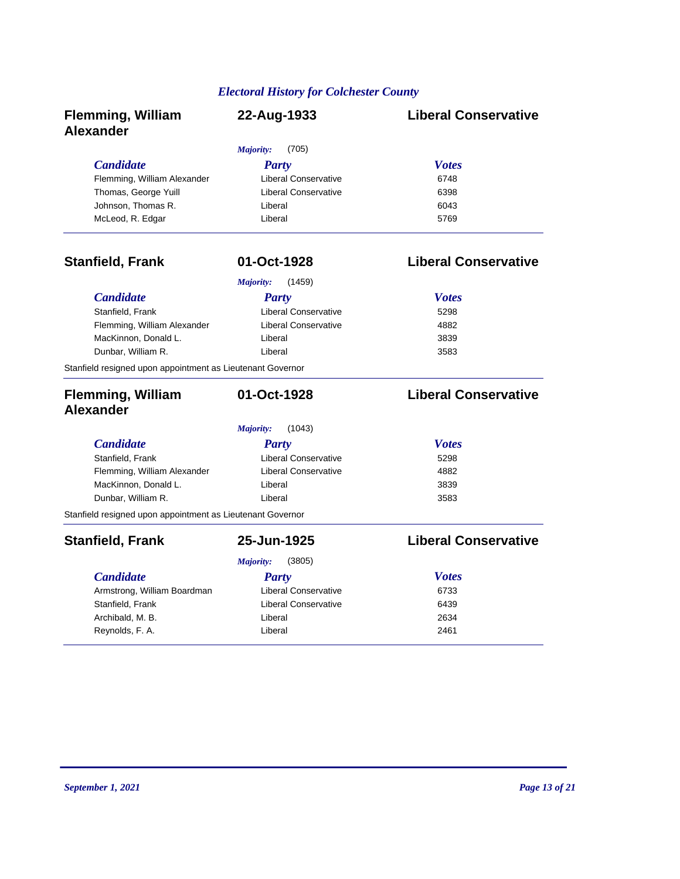| <b>Flemming, William</b><br><b>Alexander</b>               | 22-Aug-1933                 | <b>Liberal Conservative</b> |
|------------------------------------------------------------|-----------------------------|-----------------------------|
|                                                            | (705)<br>Majority:          |                             |
| <b>Candidate</b>                                           | <b>Party</b>                | <b>Votes</b>                |
| Flemming, William Alexander                                | Liberal Conservative        | 6748                        |
| Thomas, George Yuill                                       | <b>Liberal Conservative</b> | 6398                        |
| Johnson, Thomas R.                                         | Liberal                     | 6043                        |
| McLeod, R. Edgar                                           | Liberal                     | 5769                        |
| <b>Stanfield, Frank</b>                                    | 01-Oct-1928                 | <b>Liberal Conservative</b> |
|                                                            | (1459)<br><b>Majority:</b>  |                             |
| <b>Candidate</b>                                           | <b>Party</b>                | <b>Votes</b>                |
| Stanfield, Frank                                           | <b>Liberal Conservative</b> | 5298                        |
| Flemming, William Alexander                                | <b>Liberal Conservative</b> | 4882                        |
| MacKinnon, Donald L.                                       | Liberal                     | 3839                        |
| Dunbar, William R.                                         | Liberal                     | 3583                        |
| Stanfield resigned upon appointment as Lieutenant Governor |                             |                             |
| <b>Flemming, William</b><br><b>Alexander</b>               | 01-Oct-1928                 | <b>Liberal Conservative</b> |
|                                                            | Majority:<br>(1043)         |                             |
| <b>Candidate</b>                                           | Party                       | <b>Votes</b>                |
| Stanfield, Frank                                           | <b>Liberal Conservative</b> | 5298                        |
| Flemming, William Alexander                                | <b>Liberal Conservative</b> | 4882                        |
| MacKinnon, Donald L.                                       | Liberal                     | 3839                        |
| Dunbar, William R.                                         | Liberal                     | 3583                        |
| Stanfield resigned upon appointment as Lieutenant Governor |                             |                             |
| <b>Stanfield, Frank</b>                                    | 25-Jun-1925                 | <b>Liberal Conservative</b> |
|                                                            | (3805)<br>Majority:         |                             |
| <b>Candidate</b>                                           | Party                       | <b>Votes</b>                |
| Armstrong, William Boardman                                | <b>Liberal Conservative</b> | 6733                        |
| Stanfield, Frank                                           | <b>Liberal Conservative</b> | 6439                        |
| Archibald, M. B.                                           | Liberal                     | 2634                        |
|                                                            |                             |                             |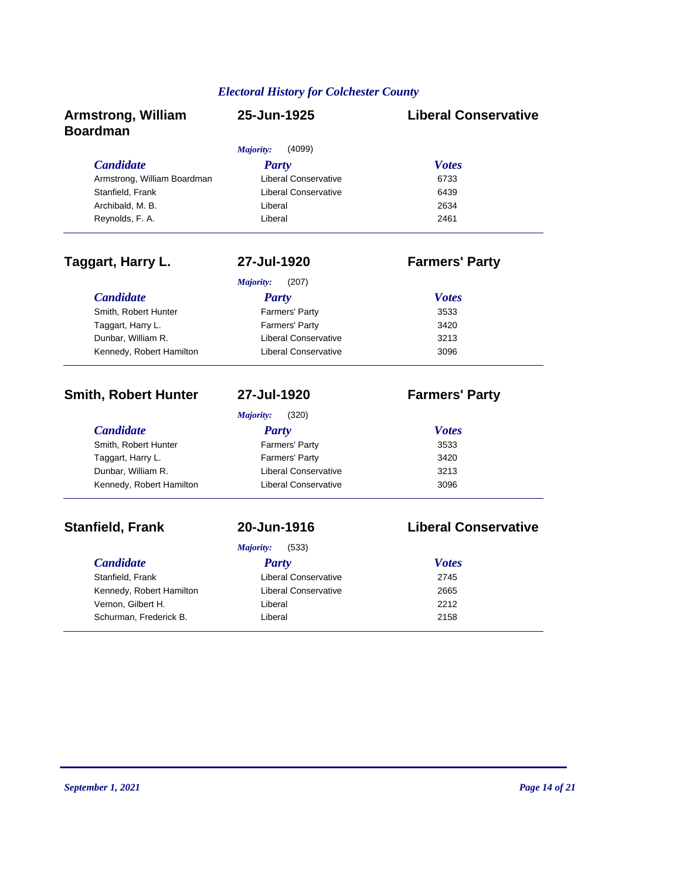| <b>Armstrong, William</b><br><b>Boardman</b> | 25-Jun-1925                 | <b>Liberal Conservative</b> |
|----------------------------------------------|-----------------------------|-----------------------------|
|                                              | Majority:<br>(4099)         |                             |
| <b>Candidate</b>                             | <b>Party</b>                | <b>Votes</b>                |
| Armstrong, William Boardman                  | <b>Liberal Conservative</b> | 6733                        |
| Stanfield, Frank                             | <b>Liberal Conservative</b> | 6439                        |
| Archibald, M. B.                             | Liberal                     | 2634                        |
| Reynolds, F. A.                              | Liberal                     | 2461                        |
| Taggart, Harry L.                            | 27-Jul-1920                 | <b>Farmers' Party</b>       |
|                                              | (207)<br>Majority:          |                             |
| <b>Candidate</b>                             | <b>Party</b>                | <b>Votes</b>                |
| Smith, Robert Hunter                         | Farmers' Party              | 3533                        |
| Taggart, Harry L.                            | Farmers' Party              | 3420                        |
| Dunbar, William R.                           | <b>Liberal Conservative</b> | 3213                        |
| Kennedy, Robert Hamilton                     | <b>Liberal Conservative</b> | 3096                        |
| <b>Smith, Robert Hunter</b>                  | 27-Jul-1920                 | <b>Farmers' Party</b>       |
|                                              | Majority:<br>(320)          |                             |
| <b>Candidate</b>                             | <b>Party</b>                | <b>Votes</b>                |
| Smith, Robert Hunter                         | Farmers' Party              | 3533                        |
| Taggart, Harry L.                            | Farmers' Party              | 3420                        |
| Dunbar, William R.                           | <b>Liberal Conservative</b> | 3213                        |
| Kennedy, Robert Hamilton                     | Liberal Conservative        | 3096                        |
| <b>Stanfield, Frank</b>                      | 20-Jun-1916                 | <b>Liberal Conservative</b> |
|                                              | Majority:<br>(533)          |                             |
| <b>Candidate</b>                             | <b>Party</b>                | <b>Votes</b>                |
| Stanfield, Frank                             | <b>Liberal Conservative</b> | 2745                        |
| Kennedy, Robert Hamilton                     | <b>Liberal Conservative</b> | 2665                        |
| Vernon, Gilbert H.                           | Liberal                     | 2212                        |

Schurman, Frederick B. New York Liberal 2158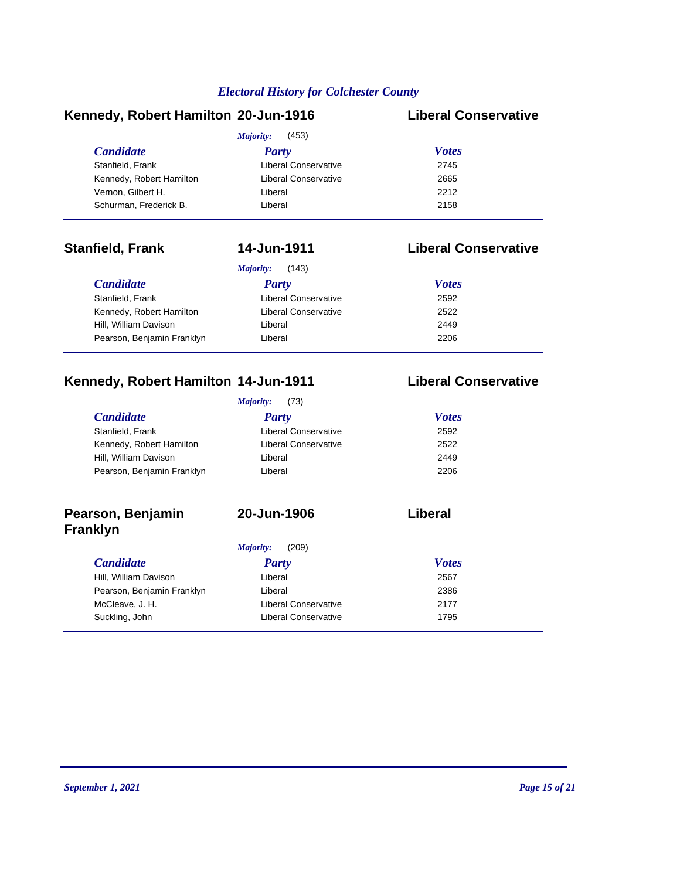### **Kennedy, Robert Hamilton 20-Jun-1916 Liberal Conservative**

|                          | (453)<br>Majority:   |              |  |  |
|--------------------------|----------------------|--------------|--|--|
| <i>Candidate</i>         | <b>Party</b>         | <b>Votes</b> |  |  |
| Stanfield, Frank         | Liberal Conservative | 2745         |  |  |
| Kennedy, Robert Hamilton | Liberal Conservative | 2665         |  |  |
| Vernon, Gilbert H.       | Liberal              | 2212         |  |  |
| Schurman, Frederick B.   | Liberal              | 2158         |  |  |

### **Stanfield, Frank 14-Jun-1911 Liberal Conservative**

| (143)<br>Majority:         |                      |              |
|----------------------------|----------------------|--------------|
| <b>Candidate</b>           | <b>Party</b>         | <b>Votes</b> |
| Stanfield, Frank           | Liberal Conservative | 2592         |
| Kennedy, Robert Hamilton   | Liberal Conservative | 2522         |
| Hill, William Davison      | Liberal              | 2449         |
| Pearson, Benjamin Franklyn | Liberal              | 2206         |

### **Kennedy, Robert Hamilton 14-Jun-1911 Liberal Conservative**

#### *Candidate Party Votes Majority:* (73) Stanfield, Frank **Example 2592** Liberal Conservative 2592 Kennedy, Robert Hamilton Liberal Conservative 2522 Hill, William Davison Liberal 2449 Pearson, Benjamin Franklyn Liberal Liberal 2206

### **Pearson, Benjamin Franklyn**

### **20-Jun-1906 Liberal**

#### *Candidate Party Votes Majority:* (209) Hill, William Davison Liberal 2567 Pearson, Benjamin Franklyn Liberal Liberal 2386 McCleave, J. H. Liberal Conservative 2177 Suckling, John **Liberal Conservative** 1795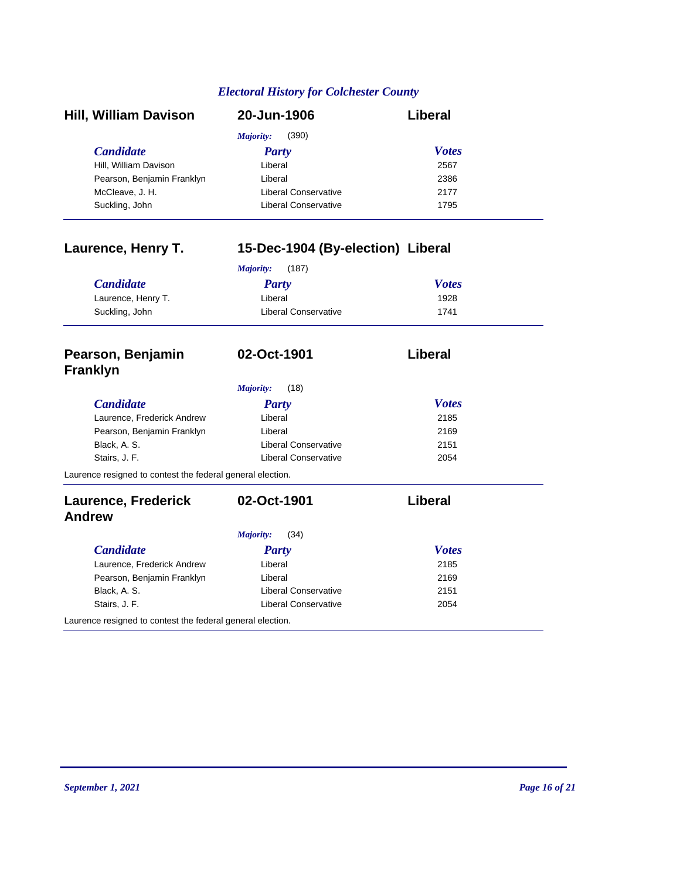| <b>Hill, William Davison</b> | 20-Jun-1906                 | Liberal      |
|------------------------------|-----------------------------|--------------|
|                              | (390)<br>Majority:          |              |
| <b>Candidate</b>             | <b>Party</b>                | <b>Votes</b> |
| Hill, William Davison        | Liberal                     | 2567         |
| Pearson, Benjamin Franklyn   | Liberal                     | 2386         |
| McCleave, J. H.              | Liberal Conservative        | 2177         |
| Suckling, John               | <b>Liberal Conservative</b> | 1795         |

| Laurence, Henry T.                                         | 15-Dec-1904 (By-election) Liberal |                |  |
|------------------------------------------------------------|-----------------------------------|----------------|--|
|                                                            | (187)<br>Majority:                |                |  |
| <b>Candidate</b>                                           | Party                             | <b>Votes</b>   |  |
| Laurence, Henry T.                                         | Liberal                           | 1928           |  |
| Suckling, John                                             | <b>Liberal Conservative</b>       | 1741           |  |
| Pearson, Benjamin<br><b>Franklyn</b>                       | 02-Oct-1901                       | Liberal        |  |
|                                                            | Majority:<br>(18)                 |                |  |
| <b>Candidate</b>                                           | Party                             | <b>Votes</b>   |  |
| Laurence, Frederick Andrew                                 | Liberal                           | 2185           |  |
| Pearson, Benjamin Franklyn                                 | Liberal                           | 2169           |  |
| Black, A. S.                                               | <b>Liberal Conservative</b>       | 2151           |  |
| Stairs, J. F.                                              | <b>Liberal Conservative</b>       | 2054           |  |
| Laurence resigned to contest the federal general election. |                                   |                |  |
| <b>Laurence, Frederick</b>                                 | 02-Oct-1901                       | <b>Liberal</b> |  |
| <b>Andrew</b>                                              |                                   |                |  |
|                                                            | (34)<br>Majority:                 |                |  |
| <b>Candidate</b>                                           | Party                             | <b>Votes</b>   |  |
| Laurence, Frederick Andrew                                 | Liberal                           | 2185           |  |
| Pearson, Benjamin Franklyn                                 | Liberal                           | 2169           |  |
| Black, A. S.                                               | <b>Liberal Conservative</b>       | 2151           |  |

Stairs, J. F. 2054

Laurence resigned to contest the federal general election.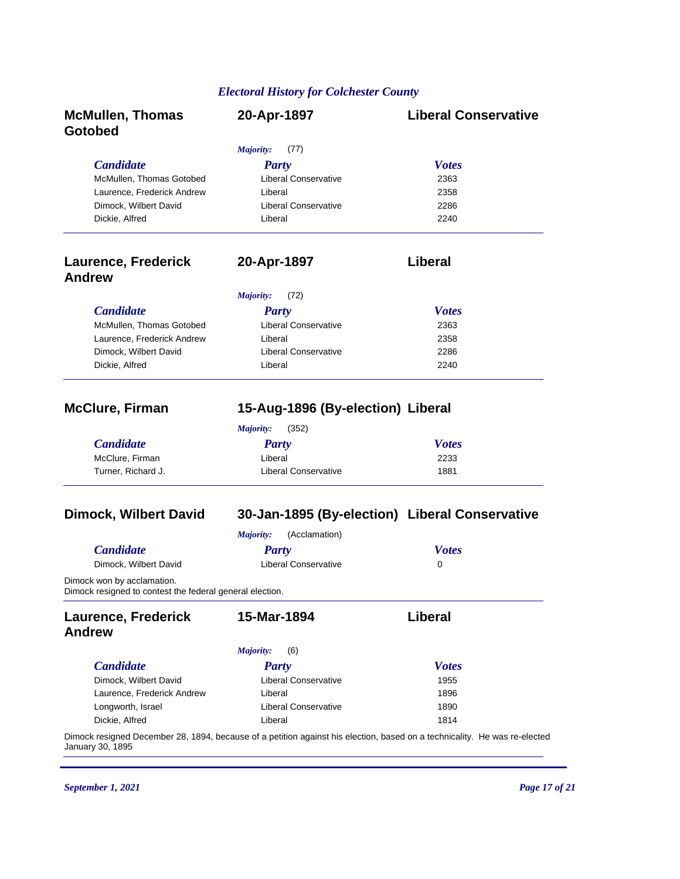| <b>McMullen, Thomas</b><br>Gotobed                                                     | 20-Apr-1897                                                                                                               | <b>Liberal Conservative</b> |
|----------------------------------------------------------------------------------------|---------------------------------------------------------------------------------------------------------------------------|-----------------------------|
|                                                                                        | Majority:<br>(77)                                                                                                         |                             |
| <b>Candidate</b>                                                                       | <b>Party</b>                                                                                                              | <b>Votes</b>                |
| McMullen, Thomas Gotobed                                                               | <b>Liberal Conservative</b>                                                                                               | 2363                        |
| Laurence, Frederick Andrew                                                             | Liberal                                                                                                                   | 2358                        |
| Dimock, Wilbert David                                                                  | <b>Liberal Conservative</b>                                                                                               | 2286                        |
| Dickie, Alfred                                                                         | Liberal                                                                                                                   | 2240                        |
| <b>Laurence, Frederick</b><br><b>Andrew</b>                                            | 20-Apr-1897                                                                                                               | Liberal                     |
|                                                                                        | Majority:<br>(72)                                                                                                         |                             |
| <b>Candidate</b>                                                                       | <b>Party</b>                                                                                                              | <b>Votes</b>                |
| McMullen, Thomas Gotobed                                                               | <b>Liberal Conservative</b>                                                                                               | 2363                        |
| Laurence, Frederick Andrew                                                             | Liberal                                                                                                                   | 2358                        |
| Dimock, Wilbert David                                                                  | <b>Liberal Conservative</b>                                                                                               | 2286                        |
| Dickie, Alfred                                                                         | Liberal                                                                                                                   | 2240                        |
| <b>McClure, Firman</b>                                                                 | 15-Aug-1896 (By-election) Liberal                                                                                         |                             |
|                                                                                        | Majority:<br>(352)                                                                                                        |                             |
| <b>Candidate</b>                                                                       | <b>Party</b>                                                                                                              | <b>Votes</b>                |
| McClure, Firman                                                                        | Liberal                                                                                                                   | 2233                        |
| Turner, Richard J.                                                                     | <b>Liberal Conservative</b>                                                                                               | 1881                        |
| <b>Dimock, Wilbert David</b>                                                           | 30-Jan-1895 (By-election) Liberal Conservative                                                                            |                             |
|                                                                                        | <b>Majority:</b><br>(Acclamation)                                                                                         |                             |
| <b>Candidate</b>                                                                       | <b>Party</b>                                                                                                              | <b>Votes</b>                |
| Dimock, Wilbert David                                                                  | <b>Liberal Conservative</b>                                                                                               | 0                           |
| Dimock won by acclamation.<br>Dimock resigned to contest the federal general election. |                                                                                                                           |                             |
| <b>Laurence, Frederick</b>                                                             | 15-Mar-1894                                                                                                               | Liberal                     |
| <b>Andrew</b>                                                                          |                                                                                                                           |                             |
|                                                                                        | Majority:<br>(6)                                                                                                          |                             |
| <b>Candidate</b>                                                                       | <b>Party</b>                                                                                                              | <b>Votes</b>                |
| Dimock, Wilbert David                                                                  | Liberal Conservative                                                                                                      | 1955                        |
| Laurence, Frederick Andrew                                                             | Liberal                                                                                                                   | 1896                        |
| Longworth, Israel                                                                      | <b>Liberal Conservative</b>                                                                                               | 1890                        |
| Dickie, Alfred                                                                         | Liberal                                                                                                                   | 1814                        |
| January 30, 1895                                                                       | Dimock resigned December 28, 1894, because of a petition against his election, based on a technicality. He was re-elected |                             |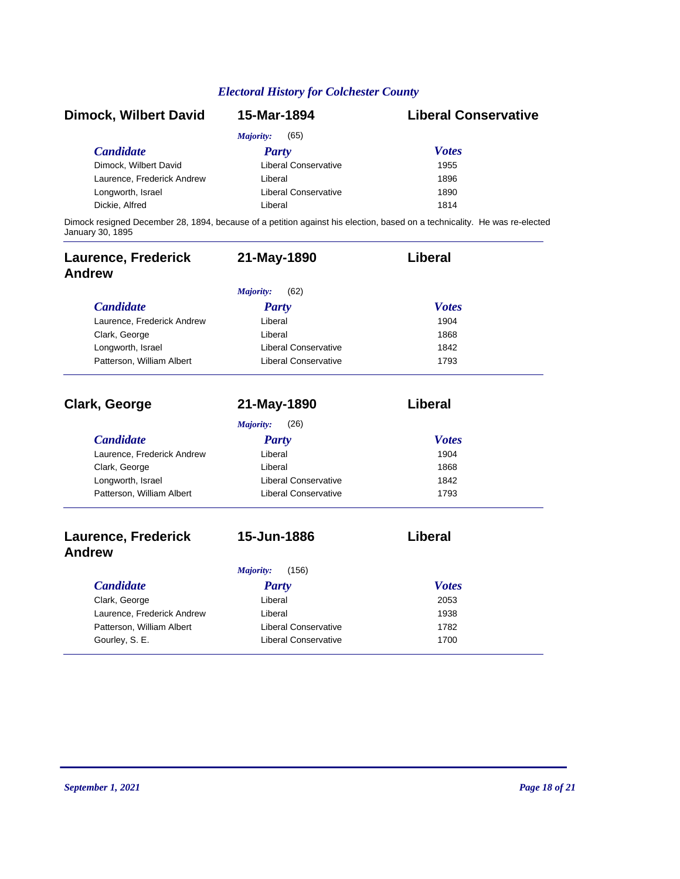| <b>Dimock, Wilbert David</b> | 15-Mar-1894                 | <b>Liberal Conservative</b>                                                                                               |
|------------------------------|-----------------------------|---------------------------------------------------------------------------------------------------------------------------|
|                              | (65)<br>Majority:           |                                                                                                                           |
| <b>Candidate</b>             | Party                       | <b>Votes</b>                                                                                                              |
| Dimock, Wilbert David        | Liberal Conservative        | 1955                                                                                                                      |
| Laurence, Frederick Andrew   | Liberal                     | 1896                                                                                                                      |
| Longworth, Israel            | <b>Liberal Conservative</b> | 1890                                                                                                                      |
| Dickie, Alfred               | Liberal                     | 1814                                                                                                                      |
| January 30, 1895             |                             | Dimock resigned December 28, 1894, because of a petition against his election, based on a technicality. He was re-elected |

| <b>Laurence, Frederick</b><br><b>Andrew</b> | 21-May-1890                 | Liberal        |
|---------------------------------------------|-----------------------------|----------------|
|                                             | (62)<br>Majority:           |                |
| <b>Candidate</b>                            | <b>Party</b>                | <b>Votes</b>   |
| Laurence, Frederick Andrew                  | Liberal                     | 1904           |
| Clark, George                               | Liberal                     | 1868           |
| Longworth, Israel                           | <b>Liberal Conservative</b> | 1842           |
| Patterson, William Albert                   | <b>Liberal Conservative</b> | 1793           |
| <b>Clark, George</b>                        | 21-May-1890                 | <b>Liberal</b> |
|                                             | (26)<br>Majority:           |                |
| <b>Candidate</b>                            | <b>Party</b>                | <b>Votes</b>   |
| Laurence, Frederick Andrew                  | Liberal                     | 1904           |
| Clark, George                               | Liberal                     | 1868           |
| Longworth, Israel                           | <b>Liberal Conservative</b> | 1842           |
| Patterson, William Albert                   | <b>Liberal Conservative</b> | 1793           |
| <b>Laurence, Frederick</b><br><b>Andrew</b> | 15-Jun-1886                 | Liberal        |
|                                             | (156)<br><b>Majority:</b>   |                |
| <b>Candidate</b>                            | <b>Party</b>                | <b>Votes</b>   |
| Clark, George                               | Liberal                     | 2053           |
| Laurence, Frederick Andrew                  | Liberal                     | 1938           |
| Patterson, William Albert                   | <b>Liberal Conservative</b> | 1782           |
| Gourley, S. E.                              | <b>Liberal Conservative</b> | 1700           |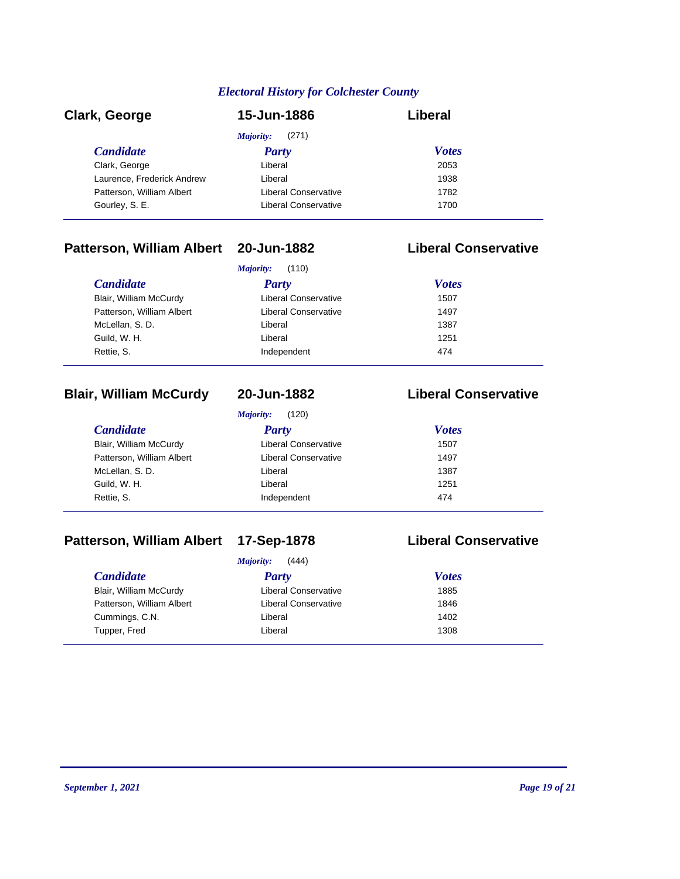| Clark, George              | 15-Jun-1886                 | Liberal      |  |
|----------------------------|-----------------------------|--------------|--|
|                            | (271)<br>Majority:          |              |  |
| <b>Candidate</b>           | Party                       | <b>Votes</b> |  |
| Clark, George              | Liberal                     | 2053         |  |
| Laurence, Frederick Andrew | Liberal                     | 1938         |  |
| Patterson, William Albert  | Liberal Conservative        | 1782         |  |
| Gourley, S. E.             | <b>Liberal Conservative</b> | 1700         |  |

# **Patterson, William Albert 20-Jun-1882 Liberal Conservative**

|                           | Majority:<br>(110)          |              |
|---------------------------|-----------------------------|--------------|
| <b>Candidate</b>          | <b>Party</b>                | <b>Votes</b> |
| Blair, William McCurdy    | <b>Liberal Conservative</b> | 1507         |
| Patterson, William Albert | <b>Liberal Conservative</b> | 1497         |
| McLellan, S.D.            | Liberal                     | 1387         |
| Guild, W. H.              | Liberal                     | 1251         |
| Rettie, S.                | Independent                 | 474          |

### **Blair, William McCurdy 20-Jun-1882 Liberal Conservative**

*Majority:* (120)

| <i>Candidate</i>          | <b>Party</b>                | <b>Votes</b> |
|---------------------------|-----------------------------|--------------|
| Blair, William McCurdy    | <b>Liberal Conservative</b> | 1507         |
| Patterson, William Albert | Liberal Conservative        | 1497         |
| McLellan, S.D.            | Liberal                     | 1387         |
| Guild, W. H.              | Liberal                     | 1251         |
| Rettie, S.                | Independent                 | 474          |
|                           |                             |              |

# **Patterson, William Albert 17-Sep-1878 Liberal Conservative**

| <b>Majority:</b> | (444) |
|------------------|-------|
|------------------|-------|

| <i>Candidate</i>          | 1111101111<br>, , , , ,<br>Party | <b>Votes</b> |  |
|---------------------------|----------------------------------|--------------|--|
| Blair, William McCurdy    | <b>Liberal Conservative</b>      | 1885         |  |
| Patterson, William Albert | <b>Liberal Conservative</b>      | 1846         |  |
|                           |                                  | 1402         |  |
| Cummings, C.N.            | Liberal                          |              |  |
| Tupper, Fred              | Liberal                          | 1308         |  |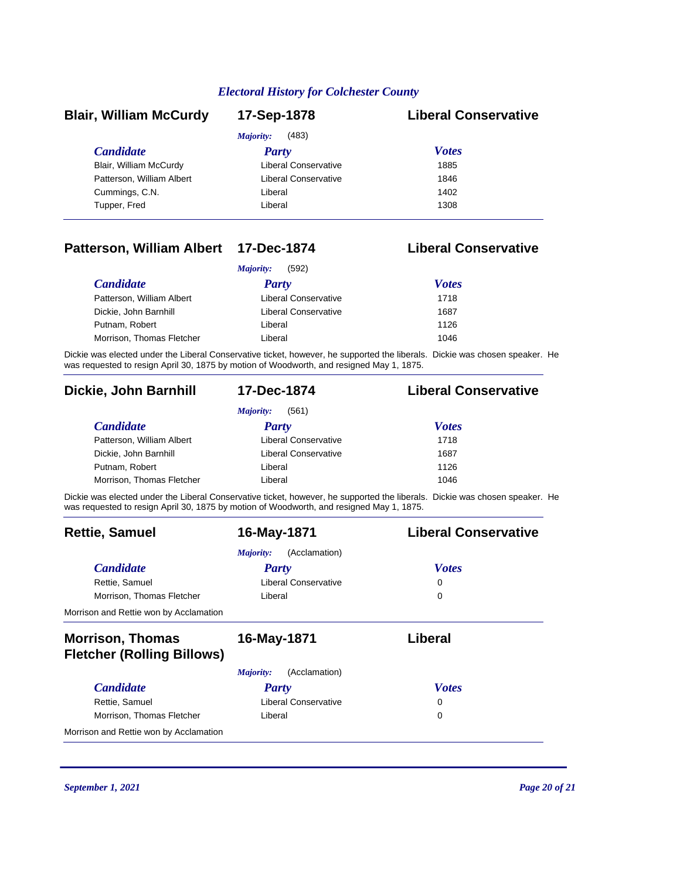| <b>Blair, William McCurdy</b> | 17-Sep-1878                 | <b>Liberal Conservative</b> |
|-------------------------------|-----------------------------|-----------------------------|
|                               | (483)<br>Majority:          |                             |
| <b>Candidate</b>              | Party                       | <b>Votes</b>                |
| Blair, William McCurdy        | <b>Liberal Conservative</b> | 1885                        |
| Patterson, William Albert     | Liberal Conservative        | 1846                        |
| Cummings, C.N.                | Liberal                     | 1402                        |
| Tupper, Fred                  | Liberal                     | 1308                        |

### **Patterson, William Albert 17-Dec-1874 Liberal Conservative**

| (592)<br><i>Majority:</i> |                      |              |  |
|---------------------------|----------------------|--------------|--|
| <i>Candidate</i>          | Party                | <b>Votes</b> |  |
| Patterson, William Albert | Liberal Conservative | 1718         |  |
| Dickie, John Barnhill     | Liberal Conservative | 1687         |  |
| Putnam, Robert            | Liberal              | 1126         |  |
| Morrison, Thomas Fletcher | Liberal              | 1046         |  |

Dickie was elected under the Liberal Conservative ticket, however, he supported the liberals. Dickie was chosen speaker. He was requested to resign April 30, 1875 by motion of Woodworth, and resigned May 1, 1875.

### **Dickie, John Barnhill 17-Dec-1874 Liberal Conservative**

# *Majority:* (561)

| Majority:<br>(50T)        |                      |              |  |
|---------------------------|----------------------|--------------|--|
| <i>Candidate</i>          | Party                | <b>Votes</b> |  |
| Patterson, William Albert | Liberal Conservative | 1718         |  |
| Dickie, John Barnhill     | Liberal Conservative | 1687         |  |
| Putnam, Robert            | Liberal              | 1126         |  |
| Morrison, Thomas Fletcher | Liberal              | 1046         |  |

Dickie was elected under the Liberal Conservative ticket, however, he supported the liberals. Dickie was chosen speaker. He was requested to resign April 30, 1875 by motion of Woodworth, and resigned May 1, 1875.

| <b>Rettie, Samuel</b>                                        | 16-May-1871                | <b>Liberal Conservative</b> |
|--------------------------------------------------------------|----------------------------|-----------------------------|
|                                                              | (Acclamation)<br>Majority: |                             |
| <b>Candidate</b>                                             | Party                      | <b>Votes</b>                |
| Rettie, Samuel                                               | Liberal Conservative       | 0                           |
| Morrison, Thomas Fletcher                                    | Liberal                    | 0                           |
| Morrison and Rettie won by Acclamation                       |                            |                             |
| <b>Morrison, Thomas</b><br><b>Fletcher (Rolling Billows)</b> | 16-May-1871                | Liberal                     |
|                                                              | (Acclamation)<br>Majority: |                             |
| <b>Candidate</b>                                             | Party                      | <b>Votes</b>                |
| Rettie, Samuel                                               | Liberal Conservative       | 0                           |
| Morrison, Thomas Fletcher                                    | Liberal                    | 0                           |
| Morrison and Rettie won by Acclamation                       |                            |                             |